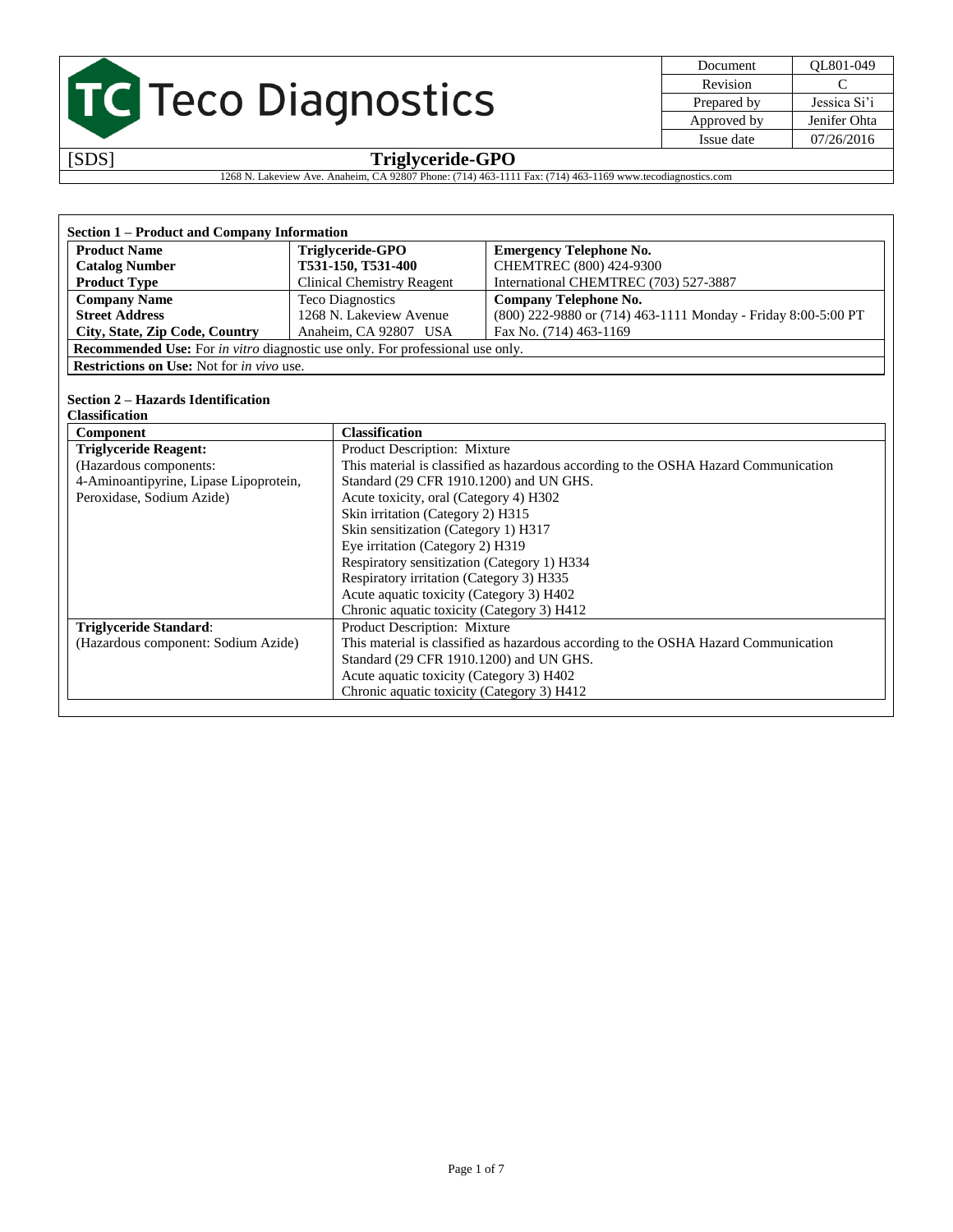| Document    | OL801-049    |
|-------------|--------------|
| Revision    | €            |
| Prepared by | Jessica Si'i |
| Approved by | Jenifer Ohta |
| Issue date  | 07/26/2016   |

### [SDS] **Triglyceride-GPO**

1268 N. Lakeview Ave. Anaheim, CA 92807 Phone: (714) 463-1111 Fax: (714) 463-1169 www.tecodiagnostics.com

| Section 1 – Product and Company Information                                                 |                                   |                                                               |  |  |
|---------------------------------------------------------------------------------------------|-----------------------------------|---------------------------------------------------------------|--|--|
| <b>Product Name</b>                                                                         | Triglyceride-GPO                  | <b>Emergency Telephone No.</b>                                |  |  |
| <b>Catalog Number</b>                                                                       | T531-150, T531-400                | CHEMTREC (800) 424-9300                                       |  |  |
| <b>Product Type</b>                                                                         | <b>Clinical Chemistry Reagent</b> | International CHEMTREC (703) 527-3887                         |  |  |
| <b>Company Name</b>                                                                         | <b>Teco Diagnostics</b>           | <b>Company Telephone No.</b>                                  |  |  |
| <b>Street Address</b>                                                                       | 1268 N. Lakeview Avenue           | (800) 222-9880 or (714) 463-1111 Monday - Friday 8:00-5:00 PT |  |  |
| City, State, Zip Code, Country<br>Fax No. (714) 463-1169<br>Anaheim, CA 92807 USA           |                                   |                                                               |  |  |
| <b>Recommended Use:</b> For <i>in vitro</i> diagnostic use only. For professional use only. |                                   |                                                               |  |  |
| <b>Restrictions on Use:</b> Not for <i>in vivo</i> use.                                     |                                   |                                                               |  |  |

#### **Section 2 – Hazards Identification**

| <b>Classification</b>                  |                                                                                     |
|----------------------------------------|-------------------------------------------------------------------------------------|
| Component                              | <b>Classification</b>                                                               |
| <b>Triglyceride Reagent:</b>           | Product Description: Mixture                                                        |
| (Hazardous components:                 | This material is classified as hazardous according to the OSHA Hazard Communication |
| 4-Aminoantipyrine, Lipase Lipoprotein, | Standard (29 CFR 1910.1200) and UN GHS.                                             |
| Peroxidase, Sodium Azide)              | Acute toxicity, oral (Category 4) H302                                              |
|                                        | Skin irritation (Category 2) H315                                                   |
|                                        | Skin sensitization (Category 1) H317                                                |
|                                        | Eye irritation (Category 2) H319                                                    |
|                                        | Respiratory sensitization (Category 1) H334                                         |
|                                        | Respiratory irritation (Category 3) H335                                            |
|                                        | Acute aquatic toxicity (Category 3) H402                                            |
|                                        | Chronic aquatic toxicity (Category 3) H412                                          |
| <b>Triglyceride Standard:</b>          | Product Description: Mixture                                                        |
| (Hazardous component: Sodium Azide)    | This material is classified as hazardous according to the OSHA Hazard Communication |
|                                        | Standard (29 CFR 1910.1200) and UN GHS.                                             |
|                                        | Acute aquatic toxicity (Category 3) H402                                            |
|                                        | Chronic aquatic toxicity (Category 3) H412                                          |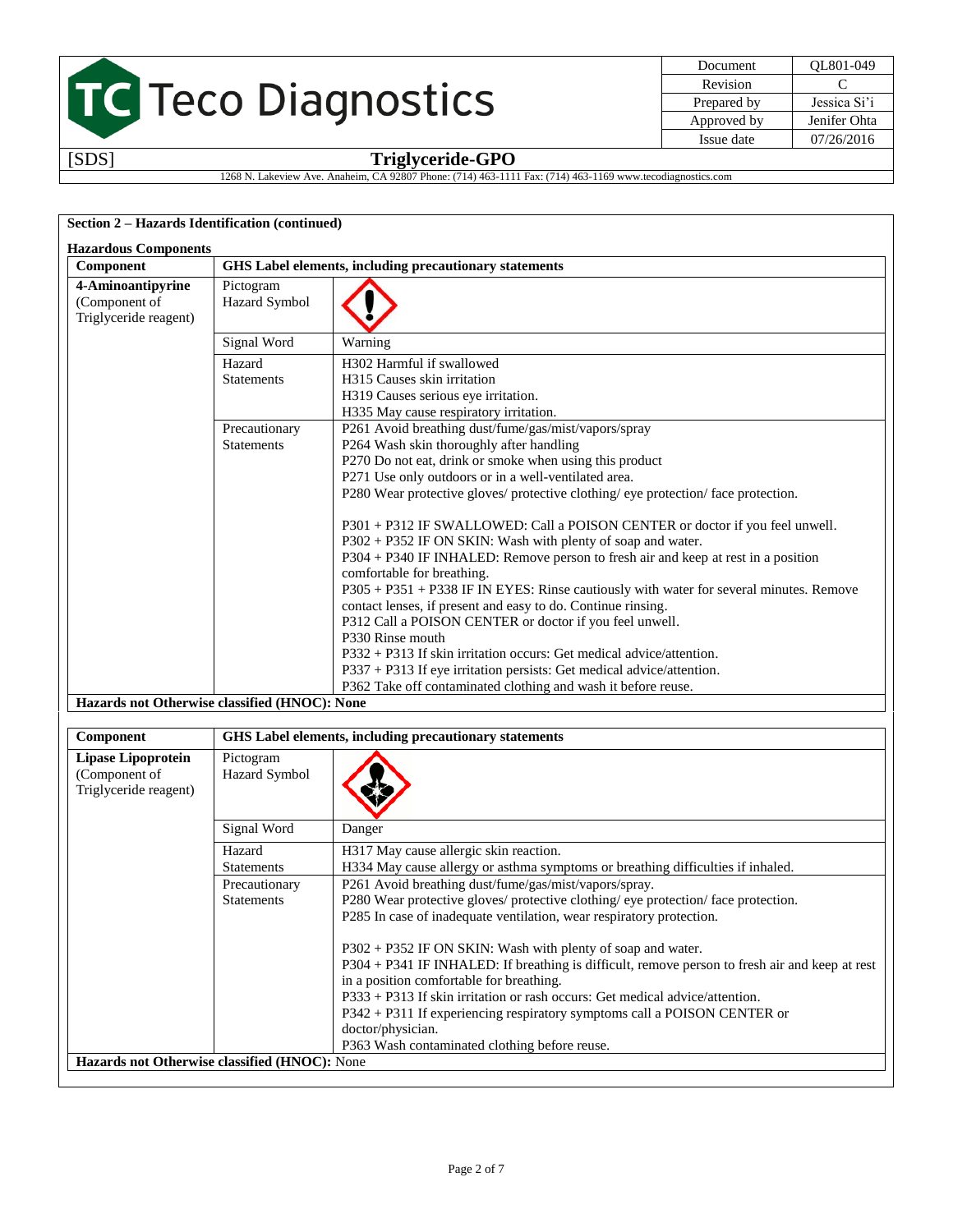| Document    | OL801-049    |
|-------------|--------------|
| Revision    | ⊖            |
| Prepared by | Jessica Si'i |
| Approved by | Jenifer Ohta |
| Issue date  | 07/26/2016   |
|             |              |

### [SDS] **Triglyceride-GPO**

1268 N. Lakeview Ave. Anaheim, CA 92807 Phone: (714) 463-1111 Fax: (714) 463-1169 www.tecodiagnostics.com

#### **Section 2 – Hazards Identification (continued)**

| Component                          |                            | GHS Label elements, including precautionary statements                                 |  |  |
|------------------------------------|----------------------------|----------------------------------------------------------------------------------------|--|--|
| 4-Aminoantipyrine<br>(Component of | Pictogram<br>Hazard Symbol |                                                                                        |  |  |
| Triglyceride reagent)              |                            |                                                                                        |  |  |
|                                    | Signal Word                | Warning                                                                                |  |  |
|                                    | Hazard                     | H <sub>302</sub> Harmful if swallowed                                                  |  |  |
|                                    | <b>Statements</b>          | H315 Causes skin irritation                                                            |  |  |
|                                    |                            | H319 Causes serious eye irritation.                                                    |  |  |
|                                    |                            | H335 May cause respiratory irritation.                                                 |  |  |
|                                    | Precautionary              | P261 Avoid breathing dust/fume/gas/mist/vapors/spray                                   |  |  |
|                                    | <b>Statements</b>          | P264 Wash skin thoroughly after handling                                               |  |  |
|                                    |                            | P270 Do not eat, drink or smoke when using this product                                |  |  |
|                                    |                            | P271 Use only outdoors or in a well-ventilated area.                                   |  |  |
|                                    |                            | P280 Wear protective gloves/ protective clothing/ eye protection/ face protection.     |  |  |
|                                    |                            | P301 + P312 IF SWALLOWED: Call a POISON CENTER or doctor if you feel unwell.           |  |  |
|                                    |                            | P302 + P352 IF ON SKIN: Wash with plenty of soap and water.                            |  |  |
|                                    |                            | P304 + P340 IF INHALED: Remove person to fresh air and keep at rest in a position      |  |  |
|                                    |                            | comfortable for breathing.                                                             |  |  |
|                                    |                            | P305 + P351 + P338 IF IN EYES: Rinse cautiously with water for several minutes. Remove |  |  |
|                                    |                            | contact lenses, if present and easy to do. Continue rinsing.                           |  |  |
|                                    |                            | P312 Call a POISON CENTER or doctor if you feel unwell.                                |  |  |
|                                    |                            | P330 Rinse mouth                                                                       |  |  |
|                                    |                            | $P332 + P313$ If skin irritation occurs: Get medical advice/attention.                 |  |  |
|                                    |                            | $P337 + P313$ If eye irritation persists: Get medical advice/attention.                |  |  |
|                                    |                            | P362 Take off contaminated clothing and wash it before reuse.                          |  |  |

| Component                                                    | <b>GHS</b> Label elements, including precautionary statements |                                                                                                |
|--------------------------------------------------------------|---------------------------------------------------------------|------------------------------------------------------------------------------------------------|
| Lipase Lipoprotein<br>(Component of<br>Triglyceride reagent) | Pictogram<br><b>Hazard Symbol</b>                             |                                                                                                |
|                                                              | Signal Word                                                   | Danger                                                                                         |
|                                                              | Hazard                                                        | H317 May cause allergic skin reaction.                                                         |
|                                                              | <b>Statements</b>                                             | H334 May cause allergy or asthma symptoms or breathing difficulties if inhaled.                |
|                                                              | Precautionary                                                 | P261 Avoid breathing dust/fume/gas/mist/vapors/spray.                                          |
|                                                              | <b>Statements</b>                                             | P280 Wear protective gloves/ protective clothing/ eye protection/ face protection.             |
|                                                              |                                                               | P285 In case of inadequate ventilation, wear respiratory protection.                           |
|                                                              |                                                               | $P302 + P352$ IF ON SKIN: Wash with plenty of soap and water.                                  |
|                                                              |                                                               | P304 + P341 IF INHALED: If breathing is difficult, remove person to fresh air and keep at rest |
|                                                              |                                                               | in a position comfortable for breathing.                                                       |
|                                                              |                                                               | $P333 + P313$ If skin irritation or rash occurs: Get medical advice/attention.                 |
|                                                              |                                                               | P342 + P311 If experiencing respiratory symptoms call a POISON CENTER or                       |
|                                                              |                                                               | doctor/physician.                                                                              |
|                                                              |                                                               | P363 Wash contaminated clothing before reuse.                                                  |
| Hazards not Otherwise classified (HNOC): None                |                                                               |                                                                                                |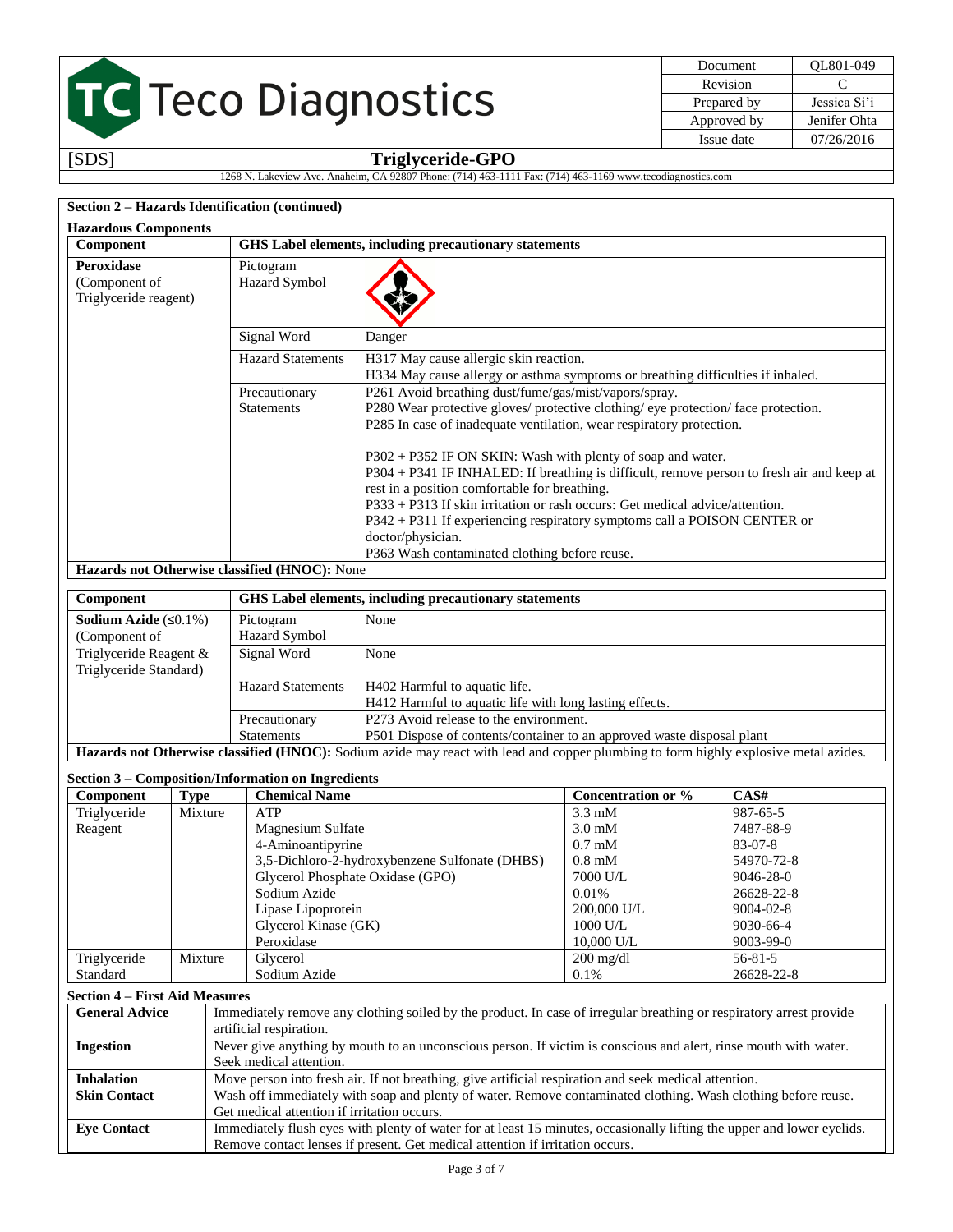| OL801-049    |
|--------------|
| C            |
| Jessica Si'i |
| Jenifer Ohta |
| 07/26/2016   |
|              |

#### [SDS] **Triglyceride-GPO** 1268 N. Lakeview Ave. Anaheim, CA 92807 Phone: (714) 463-1111 Fax: (714) 463-1169 www.tecodiagnostics.com

#### **Section 2 – Hazards Identification (continued)**

| <b>Hazardous Components</b>                                 |                                                        |                                                                                                                                                                                                                                                                                                                                                                                                                                                                                                                                                                                                                                                                        |
|-------------------------------------------------------------|--------------------------------------------------------|------------------------------------------------------------------------------------------------------------------------------------------------------------------------------------------------------------------------------------------------------------------------------------------------------------------------------------------------------------------------------------------------------------------------------------------------------------------------------------------------------------------------------------------------------------------------------------------------------------------------------------------------------------------------|
| Component                                                   | GHS Label elements, including precautionary statements |                                                                                                                                                                                                                                                                                                                                                                                                                                                                                                                                                                                                                                                                        |
| <b>Peroxidase</b><br>(Component of<br>Triglyceride reagent) | Pictogram<br><b>Hazard Symbol</b>                      |                                                                                                                                                                                                                                                                                                                                                                                                                                                                                                                                                                                                                                                                        |
|                                                             | Signal Word                                            | Danger                                                                                                                                                                                                                                                                                                                                                                                                                                                                                                                                                                                                                                                                 |
|                                                             | <b>Hazard Statements</b>                               | H317 May cause allergic skin reaction.<br>H334 May cause allergy or asthma symptoms or breathing difficulties if inhaled.                                                                                                                                                                                                                                                                                                                                                                                                                                                                                                                                              |
|                                                             | Precautionary<br><b>Statements</b>                     | P261 Avoid breathing dust/fume/gas/mist/vapors/spray.<br>P280 Wear protective gloves/ protective clothing/ eye protection/ face protection.<br>P285 In case of inadequate ventilation, wear respiratory protection.<br>$P302 + P352$ IF ON SKIN: Wash with plenty of soap and water.<br>P304 + P341 IF INHALED: If breathing is difficult, remove person to fresh air and keep at<br>rest in a position comfortable for breathing.<br>$P333 + P313$ If skin irritation or rash occurs: Get medical advice/attention.<br>P342 + P311 If experiencing respiratory symptoms call a POISON CENTER or<br>doctor/physician.<br>P363 Wash contaminated clothing before reuse. |
| Hazards not Otherwise classified (HNOC): None               |                                                        |                                                                                                                                                                                                                                                                                                                                                                                                                                                                                                                                                                                                                                                                        |
| Component                                                   |                                                        | GHS Label elements, including precautionary statements                                                                                                                                                                                                                                                                                                                                                                                                                                                                                                                                                                                                                 |

| <b>Sodium Azide</b> $(50.1\%)$ | Pictogram                                                                                                                            | None                                                                   |  |
|--------------------------------|--------------------------------------------------------------------------------------------------------------------------------------|------------------------------------------------------------------------|--|
| (Component of                  | Hazard Symbol                                                                                                                        |                                                                        |  |
| Triglyceride Reagent &         | Signal Word                                                                                                                          | None                                                                   |  |
| Triglyceride Standard)         |                                                                                                                                      |                                                                        |  |
|                                | <b>Hazard Statements</b>                                                                                                             | H402 Harmful to aquatic life.                                          |  |
|                                | H412 Harmful to aquatic life with long lasting effects.                                                                              |                                                                        |  |
|                                | Precautionary                                                                                                                        | P273 Avoid release to the environment.                                 |  |
|                                | <b>Statements</b>                                                                                                                    | P501 Dispose of contents/container to an approved waste disposal plant |  |
|                                | Hazards not Otherwise classified (HNOC): Sodium azide may react with lead and copper plumbing to form highly explosive metal azides. |                                                                        |  |

#### **Section 3 – Composition/Information on Ingredients**

| Component    | Type    | <b>Chemical Name</b>                           | Concentration or %        | CAS#            |
|--------------|---------|------------------------------------------------|---------------------------|-----------------|
| Triglyceride | Mixture | ATP                                            | $3.3 \text{ mM}$          | 987-65-5        |
| Reagent      |         | Magnesium Sulfate                              | $3.0 \text{ mM}$          | 7487-88-9       |
|              |         | 4-Aminoantipyrine                              | $0.7 \text{ }\mathrm{mM}$ | $83-07-8$       |
|              |         | 3,5-Dichloro-2-hydroxybenzene Sulfonate (DHBS) | $0.8 \text{ }\mathrm{mM}$ | 54970-72-8      |
|              |         | Glycerol Phosphate Oxidase (GPO)               | 7000 U/L                  | 9046-28-0       |
|              |         | Sodium Azide                                   | 0.01%                     | 26628-22-8      |
|              |         | Lipase Lipoprotein                             | 200,000 U/L               | $9004 - 02 - 8$ |
|              |         | Glycerol Kinase (GK)                           | 1000 U/L                  | 9030-66-4       |
|              |         | Peroxidase                                     | 10,000 U/L                | 9003-99-0       |
| Triglyceride | Mixture | Glycerol                                       | $200 \text{ mg/dl}$       | $56 - 81 - 5$   |
| Standard     |         | Sodium Azide                                   | 0.1%                      | 26628-22-8      |

#### **Section 4 – First Aid Measures**

| <b>General Advice</b> | Immediately remove any clothing soiled by the product. In case of irregular breathing or respiratory arrest provide    |
|-----------------------|------------------------------------------------------------------------------------------------------------------------|
|                       | artificial respiration.                                                                                                |
| <b>Ingestion</b>      | Never give anything by mouth to an unconscious person. If victim is conscious and alert, rinse mouth with water.       |
|                       | Seek medical attention.                                                                                                |
| <b>Inhalation</b>     | Move person into fresh air. If not breathing, give artificial respiration and seek medical attention.                  |
| <b>Skin Contact</b>   | Wash off immediately with soap and plenty of water. Remove contaminated clothing. Wash clothing before reuse.          |
|                       | Get medical attention if irritation occurs.                                                                            |
| <b>Eve Contact</b>    | Immediately flush eyes with plenty of water for at least 15 minutes, occasionally lifting the upper and lower eyelids. |
|                       | Remove contact lenses if present. Get medical attention if irritation occurs.                                          |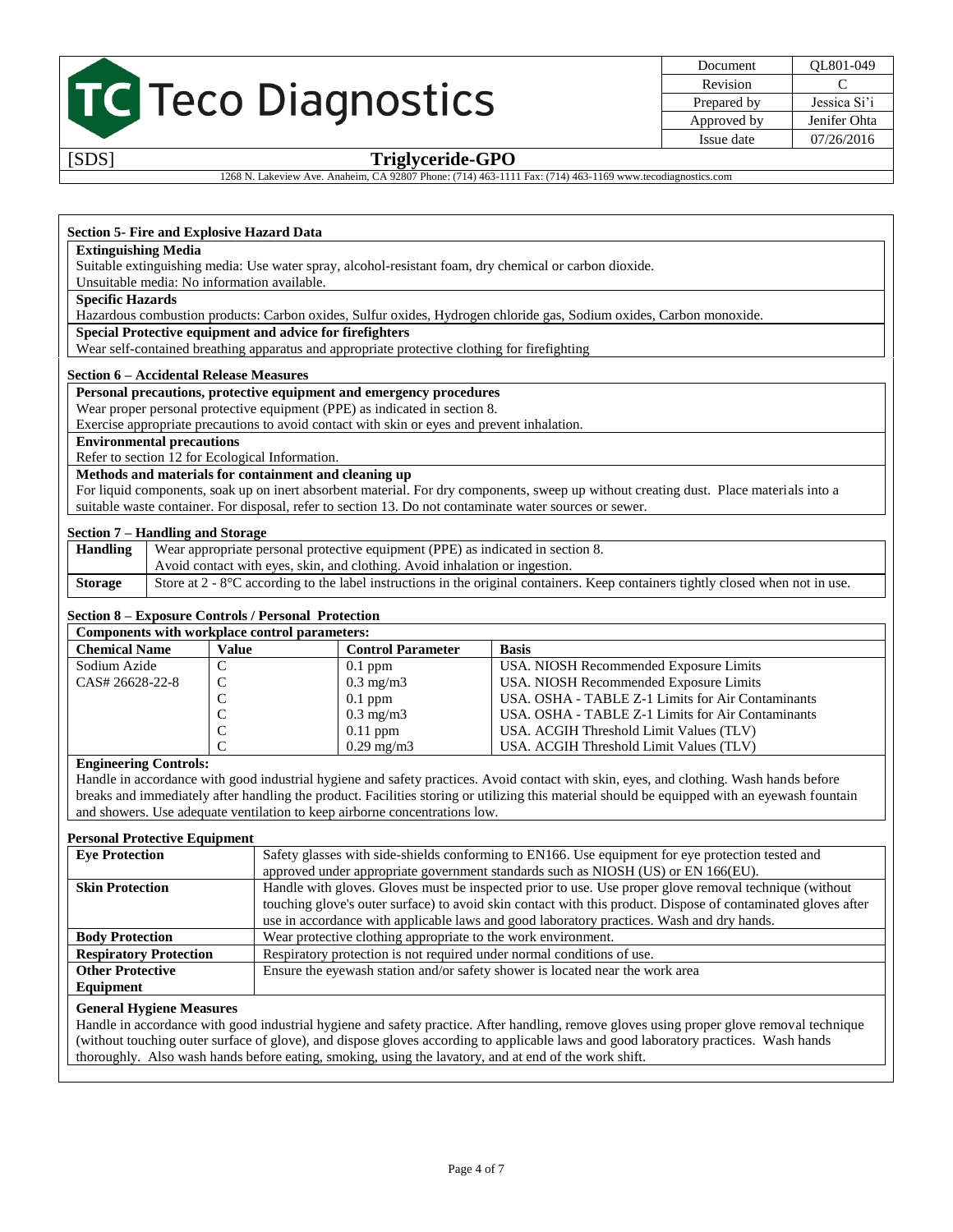| Document    | OL801-049    |
|-------------|--------------|
| Revision    | €            |
| Prepared by | Jessica Si'i |
| Approved by | Jenifer Ohta |
| Issue date  | 07/26/2016   |

#### [SDS] **Triglyceride-GPO**

1268 N. Lakeview Ave. Anaheim, CA 92807 Phone: (714) 463-1111 Fax: (714) 463-1169 www.tecodiagnostics.com

#### **Section 5- Fire and Explosive Hazard Data**

#### **Extinguishing Media**

Suitable extinguishing media: Use water spray, alcohol-resistant foam, dry chemical or carbon dioxide.

#### Unsuitable media: No information available.

#### **Specific Hazards**

Hazardous combustion products: Carbon oxides, Sulfur oxides, Hydrogen chloride gas, Sodium oxides, Carbon monoxide.

#### **Special Protective equipment and advice for firefighters**

Wear self-contained breathing apparatus and appropriate protective clothing for firefighting

#### **Section 6 – Accidental Release Measures**

#### **Personal precautions, protective equipment and emergency procedures**

Wear proper personal protective equipment (PPE) as indicated in section 8.

Exercise appropriate precautions to avoid contact with skin or eyes and prevent inhalation.

#### **Environmental precautions**

Refer to section 12 for Ecological Information.

#### **Methods and materials for containment and cleaning up**

For liquid components, soak up on inert absorbent material. For dry components, sweep up without creating dust. Place materials into a suitable waste container. For disposal, refer to section 13. Do not contaminate water sources or sewer.

#### **Section 7 – Handling and Storage**

| Handling       | Wear appropriate personal protective equipment (PPE) as indicated in section 8.                                                            |
|----------------|--------------------------------------------------------------------------------------------------------------------------------------------|
|                | Avoid contact with eyes, skin, and clothing. Avoid inhalation or ingestion.                                                                |
| <b>Storage</b> | Store at $2 - 8^{\circ}$ C according to the label instructions in the original containers. Keep containers tightly closed when not in use. |

#### **Section 8 – Exposure Controls / Personal Protection**

| Components with workplace control parameters: |                 |                          |                                                   |
|-----------------------------------------------|-----------------|--------------------------|---------------------------------------------------|
| <b>Chemical Name</b>                          | Value           | <b>Control Parameter</b> | <b>Basis</b>                                      |
| Sodium Azide                                  |                 | $0.1$ ppm                | USA. NIOSH Recommended Exposure Limits            |
| CAS# 26628-22-8                               | C               | $0.3 \text{ mg/m}$       | USA. NIOSH Recommended Exposure Limits            |
|                                               | $\sqrt{ }$<br>◡ | $0.1$ ppm                | USA. OSHA - TABLE Z-1 Limits for Air Contaminants |
|                                               | ◡               | $0.3 \text{ mg/m}$       | USA. OSHA - TABLE Z-1 Limits for Air Contaminants |
|                                               | ◡               | $0.11$ ppm               | USA. ACGIH Threshold Limit Values (TLV)           |
|                                               | $\sim$          | $0.29$ mg/m $3$          | USA. ACGIH Threshold Limit Values (TLV)           |

#### **Engineering Controls:**

Handle in accordance with good industrial hygiene and safety practices. Avoid contact with skin, eyes, and clothing. Wash hands before breaks and immediately after handling the product. Facilities storing or utilizing this material should be equipped with an eyewash fountain and showers. Use adequate ventilation to keep airborne concentrations low.

#### **Personal Protective Equipment**

| <b>Eve Protection</b>                                                                                    | Safety glasses with side-shields conforming to EN166. Use equipment for eye protection tested and             |
|----------------------------------------------------------------------------------------------------------|---------------------------------------------------------------------------------------------------------------|
|                                                                                                          | approved under appropriate government standards such as NIOSH (US) or EN 166(EU).                             |
| <b>Skin Protection</b>                                                                                   | Handle with gloves. Gloves must be inspected prior to use. Use proper glove removal technique (without        |
|                                                                                                          | touching glove's outer surface) to avoid skin contact with this product. Dispose of contaminated gloves after |
|                                                                                                          | use in accordance with applicable laws and good laboratory practices. Wash and dry hands.                     |
| <b>Body Protection</b>                                                                                   | Wear protective clothing appropriate to the work environment.                                                 |
| <b>Respiratory Protection</b>                                                                            | Respiratory protection is not required under normal conditions of use.                                        |
| <b>Other Protective</b><br>Ensure the eyewash station and/or safety shower is located near the work area |                                                                                                               |
| Equipment                                                                                                |                                                                                                               |

#### **General Hygiene Measures**

Handle in accordance with good industrial hygiene and safety practice. After handling, remove gloves using proper glove removal technique (without touching outer surface of glove), and dispose gloves according to applicable laws and good laboratory practices. Wash hands thoroughly. Also wash hands before eating, smoking, using the lavatory, and at end of the work shift.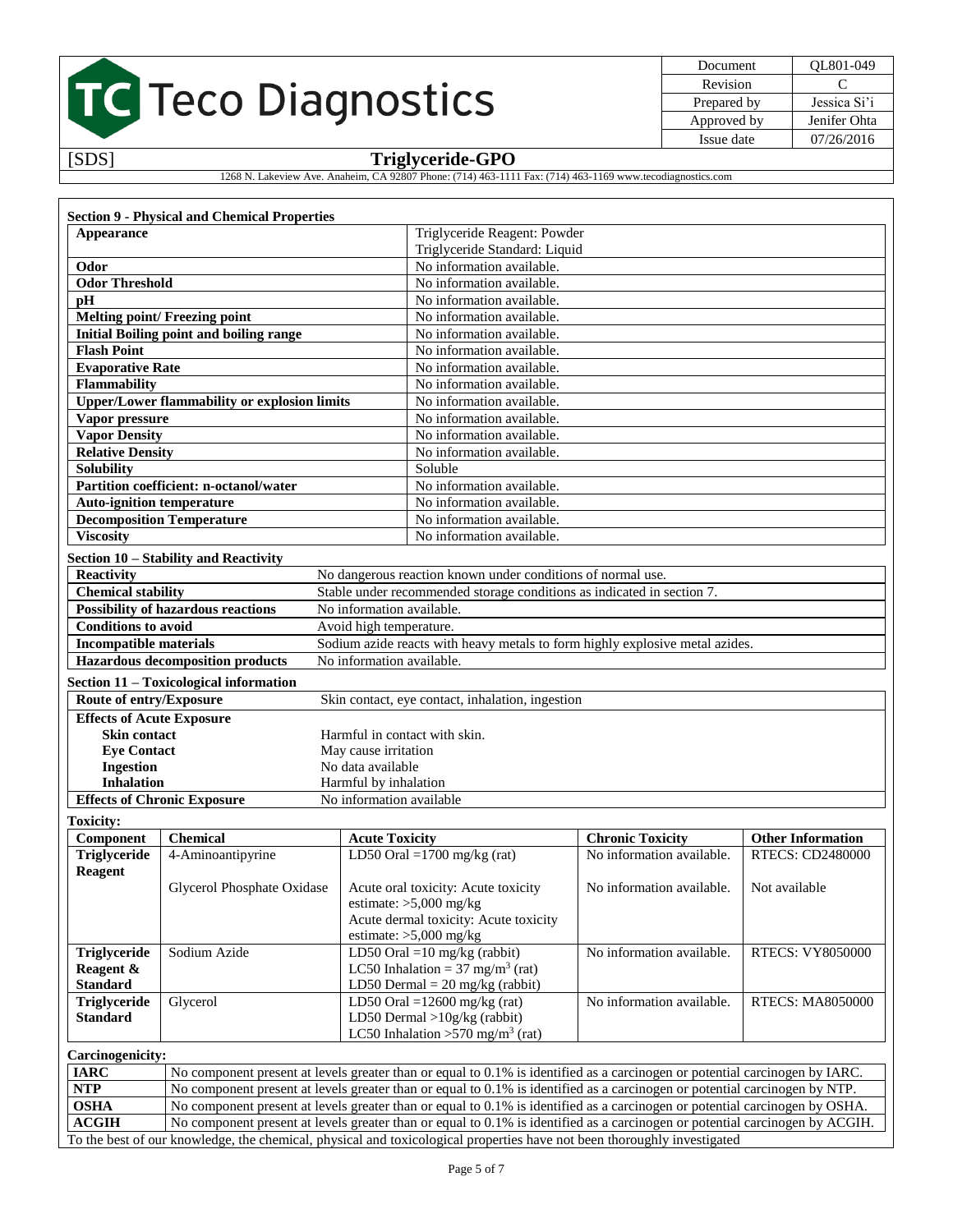| Document    | OL801-049    |
|-------------|--------------|
| Revision    | ⊖            |
| Prepared by | Jessica Si'i |
| Approved by | Jenifer Ohta |
| Issue date  | 07/26/2016   |
|             |              |

[SDS] **Triglyceride-GPO**

1268 N. Lakeview Ave. Anaheim, CA 92807 Phone: (714) 463-1111 Fax: (714) 463-1169 www.tecodiagnostics.com

|                                                       | <b>Section 9 - Physical and Chemical Properties</b>                                                                                                                                                                                                         |                                                                        |                                                                                                                                                                                                                                                           |                                                                              |                          |
|-------------------------------------------------------|-------------------------------------------------------------------------------------------------------------------------------------------------------------------------------------------------------------------------------------------------------------|------------------------------------------------------------------------|-----------------------------------------------------------------------------------------------------------------------------------------------------------------------------------------------------------------------------------------------------------|------------------------------------------------------------------------------|--------------------------|
| Appearance                                            |                                                                                                                                                                                                                                                             |                                                                        | Triglyceride Reagent: Powder                                                                                                                                                                                                                              |                                                                              |                          |
|                                                       |                                                                                                                                                                                                                                                             |                                                                        | Triglyceride Standard: Liquid                                                                                                                                                                                                                             |                                                                              |                          |
| Odor                                                  |                                                                                                                                                                                                                                                             |                                                                        | No information available.                                                                                                                                                                                                                                 |                                                                              |                          |
| <b>Odor Threshold</b>                                 |                                                                                                                                                                                                                                                             | No information available.                                              |                                                                                                                                                                                                                                                           |                                                                              |                          |
| pH                                                    |                                                                                                                                                                                                                                                             | No information available.                                              |                                                                                                                                                                                                                                                           |                                                                              |                          |
|                                                       | <b>Melting point/ Freezing point</b>                                                                                                                                                                                                                        | No information available.                                              |                                                                                                                                                                                                                                                           |                                                                              |                          |
|                                                       | <b>Initial Boiling point and boiling range</b>                                                                                                                                                                                                              | No information available.                                              |                                                                                                                                                                                                                                                           |                                                                              |                          |
| <b>Flash Point</b>                                    |                                                                                                                                                                                                                                                             | No information available.                                              |                                                                                                                                                                                                                                                           |                                                                              |                          |
| <b>Evaporative Rate</b>                               |                                                                                                                                                                                                                                                             | No information available.                                              |                                                                                                                                                                                                                                                           |                                                                              |                          |
| Flammability                                          |                                                                                                                                                                                                                                                             | No information available.                                              |                                                                                                                                                                                                                                                           |                                                                              |                          |
|                                                       | <b>Upper/Lower flammability or explosion limits</b>                                                                                                                                                                                                         | No information available.                                              |                                                                                                                                                                                                                                                           |                                                                              |                          |
| Vapor pressure                                        |                                                                                                                                                                                                                                                             | No information available.                                              |                                                                                                                                                                                                                                                           |                                                                              |                          |
| <b>Vapor Density</b>                                  |                                                                                                                                                                                                                                                             | No information available.                                              |                                                                                                                                                                                                                                                           |                                                                              |                          |
| <b>Relative Density</b>                               |                                                                                                                                                                                                                                                             | No information available.                                              |                                                                                                                                                                                                                                                           |                                                                              |                          |
| <b>Solubility</b>                                     |                                                                                                                                                                                                                                                             | Soluble                                                                |                                                                                                                                                                                                                                                           |                                                                              |                          |
|                                                       | Partition coefficient: n-octanol/water                                                                                                                                                                                                                      | No information available.                                              |                                                                                                                                                                                                                                                           |                                                                              |                          |
| <b>Auto-ignition temperature</b>                      |                                                                                                                                                                                                                                                             | No information available.                                              |                                                                                                                                                                                                                                                           |                                                                              |                          |
|                                                       | <b>Decomposition Temperature</b>                                                                                                                                                                                                                            | No information available.                                              |                                                                                                                                                                                                                                                           |                                                                              |                          |
| <b>Viscosity</b>                                      |                                                                                                                                                                                                                                                             | No information available.                                              |                                                                                                                                                                                                                                                           |                                                                              |                          |
|                                                       | Section 10 - Stability and Reactivity                                                                                                                                                                                                                       |                                                                        |                                                                                                                                                                                                                                                           |                                                                              |                          |
| <b>Reactivity</b>                                     |                                                                                                                                                                                                                                                             | No dangerous reaction known under conditions of normal use.            |                                                                                                                                                                                                                                                           |                                                                              |                          |
| <b>Chemical stability</b>                             |                                                                                                                                                                                                                                                             | Stable under recommended storage conditions as indicated in section 7. |                                                                                                                                                                                                                                                           |                                                                              |                          |
|                                                       | <b>Possibility of hazardous reactions</b>                                                                                                                                                                                                                   | No information available.                                              |                                                                                                                                                                                                                                                           |                                                                              |                          |
| <b>Conditions to avoid</b>                            |                                                                                                                                                                                                                                                             | Avoid high temperature.                                                |                                                                                                                                                                                                                                                           |                                                                              |                          |
| <b>Incompatible materials</b>                         |                                                                                                                                                                                                                                                             |                                                                        |                                                                                                                                                                                                                                                           | Sodium azide reacts with heavy metals to form highly explosive metal azides. |                          |
|                                                       | <b>Hazardous decomposition products</b>                                                                                                                                                                                                                     | No information available.                                              |                                                                                                                                                                                                                                                           |                                                                              |                          |
|                                                       |                                                                                                                                                                                                                                                             |                                                                        |                                                                                                                                                                                                                                                           |                                                                              |                          |
|                                                       | Section 11 - Toxicological information                                                                                                                                                                                                                      |                                                                        |                                                                                                                                                                                                                                                           |                                                                              |                          |
| Route of entry/Exposure                               |                                                                                                                                                                                                                                                             | Skin contact, eye contact, inhalation, ingestion                       |                                                                                                                                                                                                                                                           |                                                                              |                          |
| <b>Effects of Acute Exposure</b>                      |                                                                                                                                                                                                                                                             |                                                                        |                                                                                                                                                                                                                                                           |                                                                              |                          |
| <b>Skin contact</b>                                   |                                                                                                                                                                                                                                                             | Harmful in contact with skin.                                          |                                                                                                                                                                                                                                                           |                                                                              |                          |
| <b>Eye Contact</b><br><b>Ingestion</b>                |                                                                                                                                                                                                                                                             | May cause irritation<br>No data available                              |                                                                                                                                                                                                                                                           |                                                                              |                          |
| <b>Inhalation</b>                                     |                                                                                                                                                                                                                                                             | Harmful by inhalation                                                  |                                                                                                                                                                                                                                                           |                                                                              |                          |
|                                                       | <b>Effects of Chronic Exposure</b>                                                                                                                                                                                                                          | No information available                                               |                                                                                                                                                                                                                                                           |                                                                              |                          |
|                                                       |                                                                                                                                                                                                                                                             |                                                                        |                                                                                                                                                                                                                                                           |                                                                              |                          |
| <b>Toxicity:</b>                                      |                                                                                                                                                                                                                                                             |                                                                        |                                                                                                                                                                                                                                                           |                                                                              |                          |
| Component                                             | <b>Chemical</b>                                                                                                                                                                                                                                             | <b>Acute Toxicity</b>                                                  |                                                                                                                                                                                                                                                           | <b>Chronic Toxicity</b>                                                      | <b>Other Information</b> |
| Triglyceride                                          | 4-Aminoantipyrine                                                                                                                                                                                                                                           | LD50 Oral = $1700$ mg/kg (rat)                                         |                                                                                                                                                                                                                                                           | No information available.                                                    | RTECS: CD2480000         |
| <b>Reagent</b><br>Acute oral toxicity: Acute toxicity |                                                                                                                                                                                                                                                             |                                                                        | No information available.                                                                                                                                                                                                                                 | Not available                                                                |                          |
|                                                       | Glycerol Phosphate Oxidase                                                                                                                                                                                                                                  | estimate: $>5,000$ mg/kg                                               |                                                                                                                                                                                                                                                           |                                                                              |                          |
|                                                       |                                                                                                                                                                                                                                                             | Acute dermal toxicity: Acute toxicity                                  |                                                                                                                                                                                                                                                           |                                                                              |                          |
|                                                       |                                                                                                                                                                                                                                                             | estimate: $>5,000$ mg/kg                                               |                                                                                                                                                                                                                                                           |                                                                              |                          |
| <b>Triglyceride</b>                                   | Sodium Azide                                                                                                                                                                                                                                                | LD50 Oral = $10 \text{ mg/kg}$ (rabbit)                                |                                                                                                                                                                                                                                                           | No information available.                                                    | RTECS: VY8050000         |
| Reagent &                                             |                                                                                                                                                                                                                                                             | LC50 Inhalation = $37 \text{ mg/m}^3$ (rat)                            |                                                                                                                                                                                                                                                           |                                                                              |                          |
| <b>Standard</b>                                       |                                                                                                                                                                                                                                                             | LD50 Dermal = $20 \text{ mg/kg}$ (rabbit)                              |                                                                                                                                                                                                                                                           |                                                                              |                          |
| Triglyceride                                          | Glycerol                                                                                                                                                                                                                                                    | LD50 Oral = $12600$ mg/kg (rat)                                        |                                                                                                                                                                                                                                                           | No information available.                                                    | <b>RTECS: MA8050000</b>  |
| <b>Standard</b>                                       |                                                                                                                                                                                                                                                             | LD50 Dermal $>10g/kg$ (rabbit)                                         |                                                                                                                                                                                                                                                           |                                                                              |                          |
| LC50 Inhalation > 570 mg/m <sup>3</sup> (rat)         |                                                                                                                                                                                                                                                             |                                                                        |                                                                                                                                                                                                                                                           |                                                                              |                          |
|                                                       |                                                                                                                                                                                                                                                             |                                                                        |                                                                                                                                                                                                                                                           |                                                                              |                          |
|                                                       |                                                                                                                                                                                                                                                             |                                                                        |                                                                                                                                                                                                                                                           |                                                                              |                          |
| <b>Carcinogenicity:</b>                               |                                                                                                                                                                                                                                                             |                                                                        | No component present at levels greater than or equal to 0.1% is identified as a carcinogen or potential carcinogen by IARC.<br>No component present at levels greater than or equal to 0.1% is identified as a carcinogen or potential carcinogen by NTP. |                                                                              |                          |
| <b>IARC</b>                                           |                                                                                                                                                                                                                                                             |                                                                        |                                                                                                                                                                                                                                                           |                                                                              |                          |
| NTP                                                   |                                                                                                                                                                                                                                                             |                                                                        |                                                                                                                                                                                                                                                           |                                                                              |                          |
| <b>OSHA</b><br><b>ACGIH</b>                           | No component present at levels greater than or equal to 0.1% is identified as a carcinogen or potential carcinogen by OSHA.<br>No component present at levels greater than or equal to 0.1% is identified as a carcinogen or potential carcinogen by ACGIH. |                                                                        |                                                                                                                                                                                                                                                           |                                                                              |                          |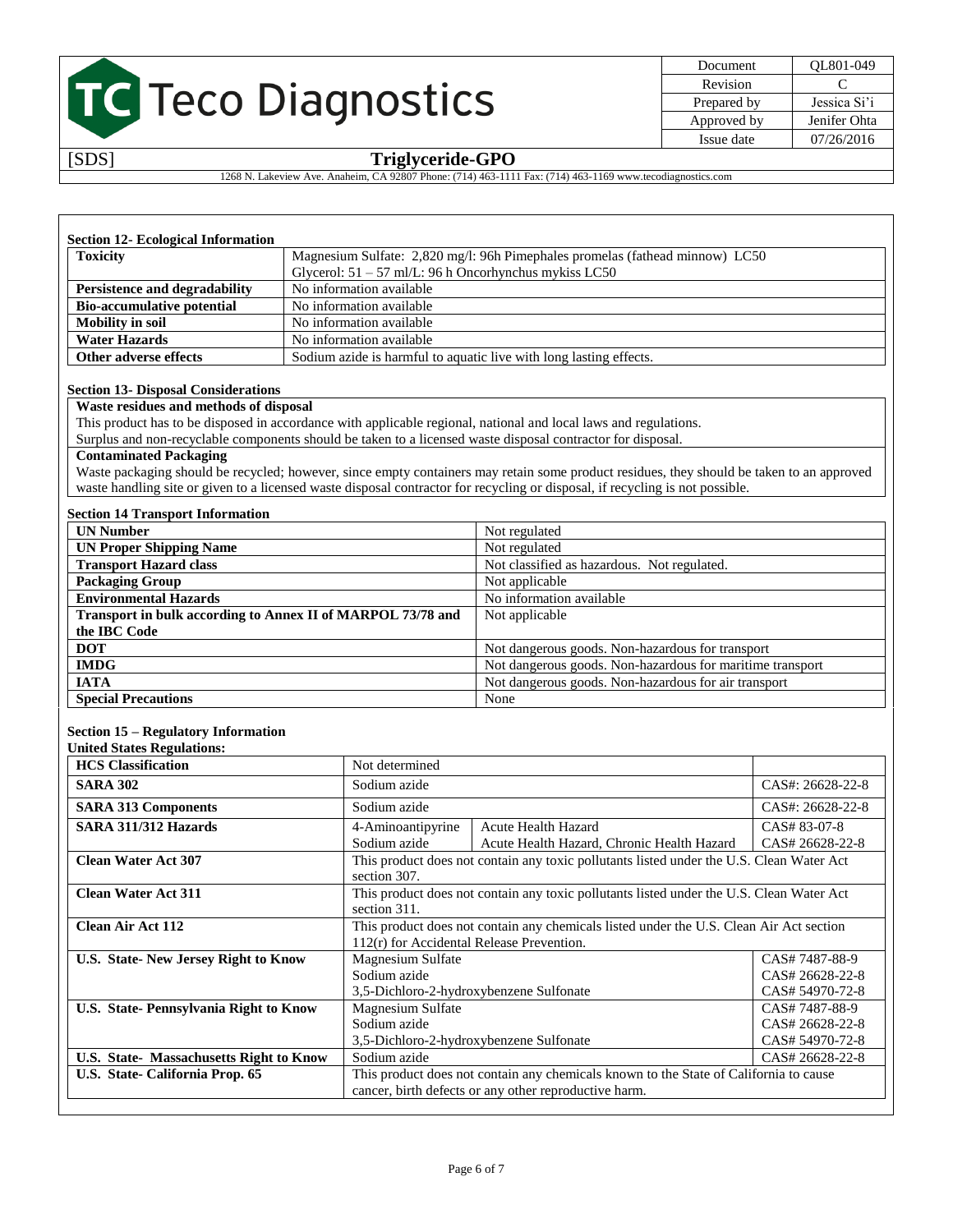

| Document    | OL801-049    |
|-------------|--------------|
| Revision    | €            |
| Prepared by | Jessica Si'i |
| Approved by | Jenifer Ohta |
| Issue date  | 07/26/2016   |
|             |              |

[SDS] **Triglyceride-GPO**

1268 N. Lakeview Ave. Anaheim, CA 92807 Phone: (714) 463-1111 Fax: (714) 463-1169 www.tecodiagnostics.com

| <b>Toxicity</b><br>Magnesium Sulfate: 2,820 mg/l: 96h Pimephales promelas (fathead minnow) LC50 |                                                         |
|-------------------------------------------------------------------------------------------------|---------------------------------------------------------|
|                                                                                                 | Glycerol: $51 - 57$ ml/L: 96 h Oncorhynchus mykiss LC50 |
| Persistence and degradability                                                                   | No information available                                |
| <b>Bio-accumulative potential</b>                                                               | No information available                                |
| <b>Mobility in soil</b>                                                                         | No information available                                |
| <b>Water Hazards</b>                                                                            | No information available                                |
| Other adverse effects<br>Sodium azide is harmful to aquatic live with long lasting effects.     |                                                         |

#### **Section 13- Disposal Considerations**

**Waste residues and methods of disposal**

This product has to be disposed in accordance with applicable regional, national and local laws and regulations.

Surplus and non-recyclable components should be taken to a licensed waste disposal contractor for disposal.

#### **Contaminated Packaging**

Waste packaging should be recycled; however, since empty containers may retain some product residues, they should be taken to an approved waste handling site or given to a licensed waste disposal contractor for recycling or disposal, if recycling is not possible.

#### **Section 14 Transport Information**

| <b>UN Number</b>                                            | Not regulated                                             |  |
|-------------------------------------------------------------|-----------------------------------------------------------|--|
| <b>UN Proper Shipping Name</b>                              | Not regulated                                             |  |
| <b>Transport Hazard class</b>                               | Not classified as hazardous. Not regulated.               |  |
| <b>Packaging Group</b>                                      | Not applicable                                            |  |
| <b>Environmental Hazards</b>                                | No information available                                  |  |
| Transport in bulk according to Annex II of MARPOL 73/78 and | Not applicable                                            |  |
| the IBC Code                                                |                                                           |  |
| <b>DOT</b>                                                  | Not dangerous goods. Non-hazardous for transport          |  |
| <b>IMDG</b>                                                 | Not dangerous goods. Non-hazardous for maritime transport |  |
| <b>IATA</b>                                                 | Not dangerous goods. Non-hazardous for air transport      |  |
| <b>Special Precautions</b>                                  | None                                                      |  |

#### **Section 15 – Regulatory Information**

**United States Regulations:** 

| Umitu biatts Regulations.<br><b>HCS Classification</b> | Not determined                                                                           |                                                                                          |                  |
|--------------------------------------------------------|------------------------------------------------------------------------------------------|------------------------------------------------------------------------------------------|------------------|
| <b>SARA 302</b>                                        | Sodium azide                                                                             |                                                                                          | CAS#: 26628-22-8 |
| <b>SARA 313 Components</b>                             | Sodium azide                                                                             |                                                                                          | CAS#: 26628-22-8 |
| SARA 311/312 Hazards                                   | 4-Aminoantipyrine                                                                        | <b>Acute Health Hazard</b>                                                               | CAS# 83-07-8     |
|                                                        | Sodium azide                                                                             | Acute Health Hazard, Chronic Health Hazard                                               | CAS# 26628-22-8  |
| <b>Clean Water Act 307</b>                             |                                                                                          | This product does not contain any toxic pollutants listed under the U.S. Clean Water Act |                  |
|                                                        | section 307.                                                                             |                                                                                          |                  |
| <b>Clean Water Act 311</b>                             | This product does not contain any toxic pollutants listed under the U.S. Clean Water Act |                                                                                          |                  |
|                                                        | section 311.                                                                             |                                                                                          |                  |
| <b>Clean Air Act 112</b>                               | This product does not contain any chemicals listed under the U.S. Clean Air Act section  |                                                                                          |                  |
|                                                        | $112(r)$ for Accidental Release Prevention.                                              |                                                                                          |                  |
| U.S. State- New Jersey Right to Know                   | CAS# 7487-88-9<br>Magnesium Sulfate                                                      |                                                                                          |                  |
|                                                        | Sodium azide                                                                             |                                                                                          | CAS# 26628-22-8  |
|                                                        | 3,5-Dichloro-2-hydroxybenzene Sulfonate                                                  |                                                                                          | CAS# 54970-72-8  |
| <b>U.S. State-Pennsylvania Right to Know</b>           | Magnesium Sulfate                                                                        |                                                                                          | CAS# 7487-88-9   |
|                                                        | Sodium azide                                                                             |                                                                                          | CAS# 26628-22-8  |
|                                                        | 3,5-Dichloro-2-hydroxybenzene Sulfonate                                                  |                                                                                          | CAS# 54970-72-8  |
| U.S. State-Massachusetts Right to Know                 | Sodium azide                                                                             |                                                                                          | CAS# 26628-22-8  |
| U.S. State- California Prop. 65                        | This product does not contain any chemicals known to the State of California to cause    |                                                                                          |                  |
|                                                        | cancer, birth defects or any other reproductive harm.                                    |                                                                                          |                  |